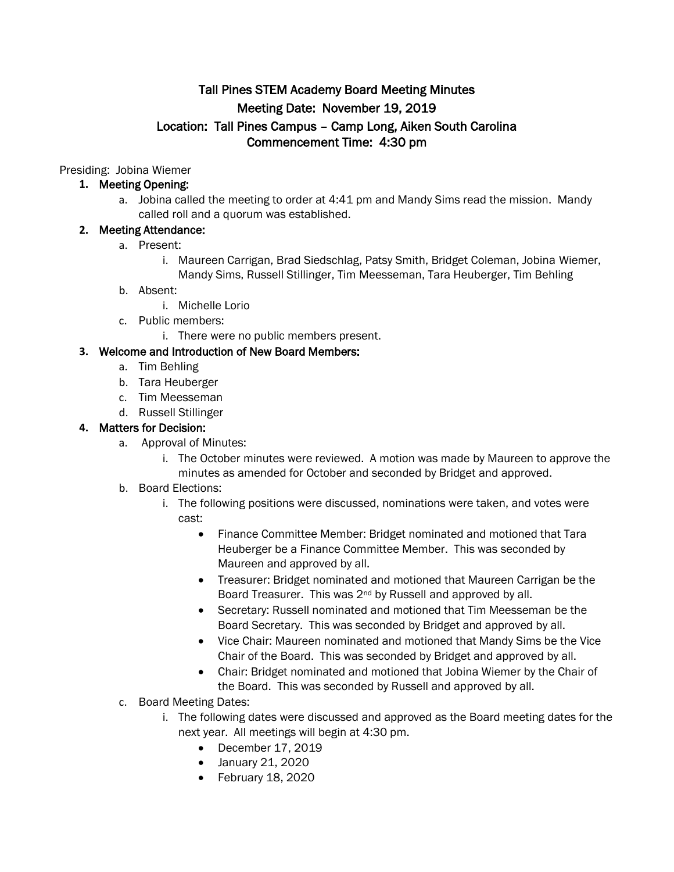# Tall Pines STEM Academy Board Meeting Minutes Meeting Date: November 19, 2019 Location: Tall Pines Campus – Camp Long, Aiken South Carolina Commencement Time: 4:30 pm

Presiding: Jobina Wiemer

## **1.** Meeting Opening:

a. Jobina called the meeting to order at 4:41 pm and Mandy Sims read the mission. Mandy called roll and a quorum was established.

## **2.** Meeting Attendance:

- a. Present:
	- i. Maureen Carrigan, Brad Siedschlag, Patsy Smith, Bridget Coleman, Jobina Wiemer, Mandy Sims, Russell Stillinger, Tim Meesseman, Tara Heuberger, Tim Behling
- b. Absent:
	- i. Michelle Lorio
- c. Public members:
	- i. There were no public members present.

## **3.** Welcome and Introduction of New Board Members:

- a. Tim Behling
- b. Tara Heuberger
- c. Tim Meesseman
- d. Russell Stillinger

## **4.** Matters for Decision:

- a. Approval of Minutes:
	- i. The October minutes were reviewed. A motion was made by Maureen to approve the minutes as amended for October and seconded by Bridget and approved.
- b. Board Elections:
	- i. The following positions were discussed, nominations were taken, and votes were cast:
		- Finance Committee Member: Bridget nominated and motioned that Tara Heuberger be a Finance Committee Member. This was seconded by Maureen and approved by all.
		- Treasurer: Bridget nominated and motioned that Maureen Carrigan be the Board Treasurer. This was 2<sup>nd</sup> by Russell and approved by all.
		- Secretary: Russell nominated and motioned that Tim Meesseman be the Board Secretary. This was seconded by Bridget and approved by all.
		- Vice Chair: Maureen nominated and motioned that Mandy Sims be the Vice Chair of the Board. This was seconded by Bridget and approved by all.
		- Chair: Bridget nominated and motioned that Jobina Wiemer by the Chair of the Board. This was seconded by Russell and approved by all.
- c. Board Meeting Dates:
	- i. The following dates were discussed and approved as the Board meeting dates for the next year. All meetings will begin at 4:30 pm.
		- December 17, 2019
		- January 21, 2020
		- February 18, 2020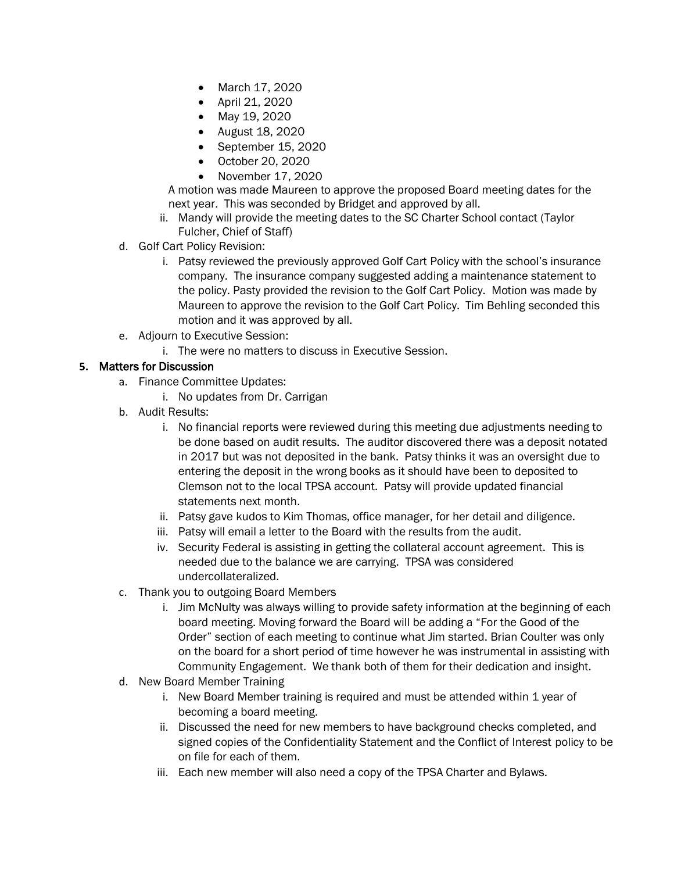- March 17, 2020
- April 21, 2020
- May 19, 2020
- August 18, 2020
- September 15, 2020
- October 20, 2020
- November 17, 2020

A motion was made Maureen to approve the proposed Board meeting dates for the next year. This was seconded by Bridget and approved by all.

- ii. Mandy will provide the meeting dates to the SC Charter School contact (Taylor Fulcher, Chief of Staff)
- d. Golf Cart Policy Revision:
	- i. Patsy reviewed the previously approved Golf Cart Policy with the school's insurance company. The insurance company suggested adding a maintenance statement to the policy. Pasty provided the revision to the Golf Cart Policy. Motion was made by Maureen to approve the revision to the Golf Cart Policy. Tim Behling seconded this motion and it was approved by all.
- e. Adjourn to Executive Session:
	- i. The were no matters to discuss in Executive Session.

#### **5.** Matters for Discussion

- a. Finance Committee Updates:
	- i. No updates from Dr. Carrigan
- b. Audit Results:
	- i. No financial reports were reviewed during this meeting due adjustments needing to be done based on audit results. The auditor discovered there was a deposit notated in 2017 but was not deposited in the bank. Patsy thinks it was an oversight due to entering the deposit in the wrong books as it should have been to deposited to Clemson not to the local TPSA account. Patsy will provide updated financial statements next month.
	- ii. Patsy gave kudos to Kim Thomas, office manager, for her detail and diligence.
	- iii. Patsy will email a letter to the Board with the results from the audit.
	- iv. Security Federal is assisting in getting the collateral account agreement. This is needed due to the balance we are carrying. TPSA was considered undercollateralized.
- c. Thank you to outgoing Board Members
	- i. Jim McNulty was always willing to provide safety information at the beginning of each board meeting. Moving forward the Board will be adding a "For the Good of the Order" section of each meeting to continue what Jim started. Brian Coulter was only on the board for a short period of time however he was instrumental in assisting with Community Engagement. We thank both of them for their dedication and insight.
- d. New Board Member Training
	- i. New Board Member training is required and must be attended within 1 year of becoming a board meeting.
	- ii. Discussed the need for new members to have background checks completed, and signed copies of the Confidentiality Statement and the Conflict of Interest policy to be on file for each of them.
	- iii. Each new member will also need a copy of the TPSA Charter and Bylaws.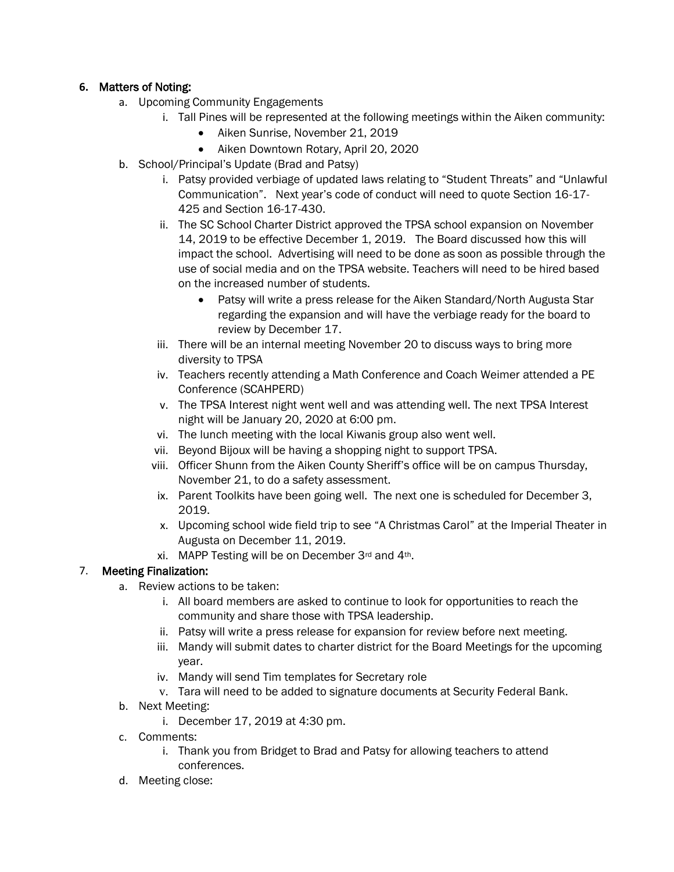#### **6.** Matters of Noting:

- a. Upcoming Community Engagements
	- i. Tall Pines will be represented at the following meetings within the Aiken community:
		- Aiken Sunrise, November 21, 2019
		- Aiken Downtown Rotary, April 20, 2020
- b. School/Principal's Update (Brad and Patsy)
	- i. Patsy provided verbiage of updated laws relating to "Student Threats" and "Unlawful Communication". Next year's code of conduct will need to quote Section 16-17- 425 and Section 16-17-430.
	- ii. The SC School Charter District approved the TPSA school expansion on November 14, 2019 to be effective December 1, 2019. The Board discussed how this will impact the school. Advertising will need to be done as soon as possible through the use of social media and on the TPSA website. Teachers will need to be hired based on the increased number of students.
		- Patsy will write a press release for the Aiken Standard/North Augusta Star regarding the expansion and will have the verbiage ready for the board to review by December 17.
	- iii. There will be an internal meeting November 20 to discuss ways to bring more diversity to TPSA
	- iv. Teachers recently attending a Math Conference and Coach Weimer attended a PE Conference (SCAHPERD)
	- v. The TPSA Interest night went well and was attending well. The next TPSA Interest night will be January 20, 2020 at 6:00 pm.
	- vi. The lunch meeting with the local Kiwanis group also went well.
	- vii. Beyond Bijoux will be having a shopping night to support TPSA.
	- viii. Officer Shunn from the Aiken County Sheriff's office will be on campus Thursday, November 21, to do a safety assessment.
	- ix. Parent Toolkits have been going well. The next one is scheduled for December 3, 2019.
	- x. Upcoming school wide field trip to see "A Christmas Carol" at the Imperial Theater in Augusta on December 11, 2019.
	- xi. MAPP Testing will be on December 3rd and 4th.

#### 7. Meeting Finalization:

- a. Review actions to be taken:
	- i. All board members are asked to continue to look for opportunities to reach the community and share those with TPSA leadership.
	- ii. Patsy will write a press release for expansion for review before next meeting.
	- iii. Mandy will submit dates to charter district for the Board Meetings for the upcoming year.
	- iv. Mandy will send Tim templates for Secretary role
	- v. Tara will need to be added to signature documents at Security Federal Bank.
- b. Next Meeting:
	- i. December 17, 2019 at 4:30 pm.
- c. Comments:
	- i. Thank you from Bridget to Brad and Patsy for allowing teachers to attend conferences.
- d. Meeting close: